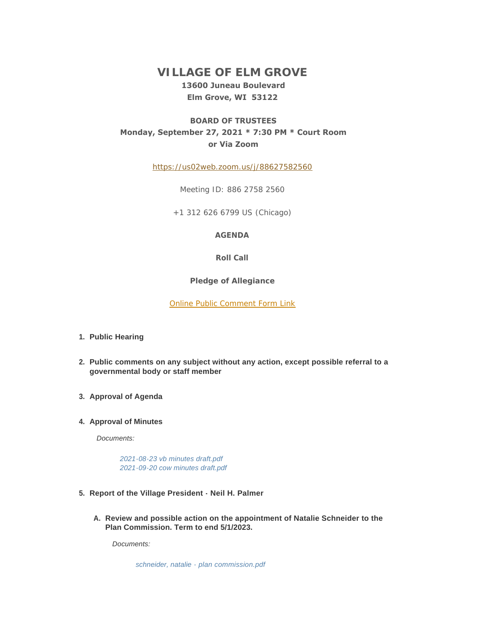# **VILLAGE OF ELM GROVE 13600 Juneau Boulevard Elm Grove, WI 53122**

# **BOARD OF TRUSTEES Monday, September 27, 2021 \* 7:30 PM \* Court Room or Via Zoom**

<https://us02web.zoom.us/j/88627582560>

Meeting ID: 886 2758 2560

+1 312 626 6799 US (Chicago)

### **AGENDA**

### **Roll Call**

**Pledge of Allegiance**

[Online Public Comment Form Link](https://elmgrovewi.org/FormCenter/PUBLIC-COMMENT-FORMS-8/Public-Comment-Registration-Form-Village-67)

- **Public Hearing 1.**
- **Public comments on any subject without any action, except possible referral to a 2. governmental body or staff member**
- **Approval of Agenda 3.**

## **4. Approval of Minutes**

*Documents:*

*[2021-08-23 vb minutes draft.pdf](https://elmgrovewi.org/AgendaCenter/ViewFile/Item/10851?fileID=16609) [2021-09-20 cow minutes draft.pdf](https://elmgrovewi.org/AgendaCenter/ViewFile/Item/10851?fileID=16608)*

- **Report of the Village President Neil H. Palmer 5.**
	- **Review and possible action on the appointment of Natalie Schneider to the A. Plan Commission. Term to end 5/1/2023.**

*Documents:*

*[schneider, natalie - plan commission.pdf](https://elmgrovewi.org/AgendaCenter/ViewFile/Item/10892?fileID=16619)*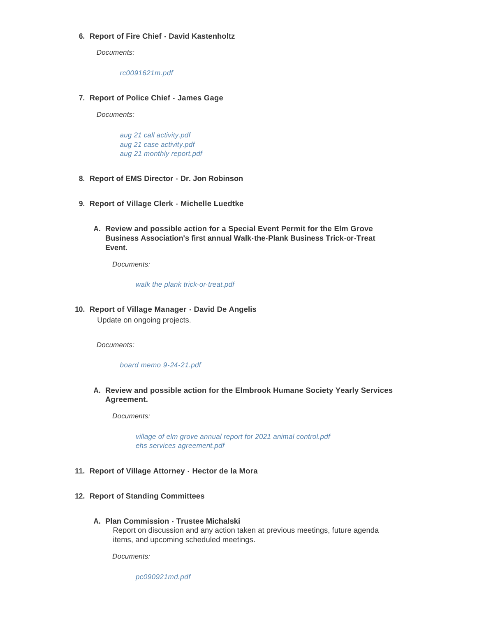# **Report of Fire Chief - David Kastenholtz 6.**

*Documents:*

*[rc0091621m.pdf](https://elmgrovewi.org/AgendaCenter/ViewFile/Item/10853?fileID=16642)*

## **Report of Police Chief - James Gage 7.**

*Documents:*

*[aug 21 call activity.pdf](https://elmgrovewi.org/AgendaCenter/ViewFile/Item/10854?fileID=16612) [aug 21 case activity.pdf](https://elmgrovewi.org/AgendaCenter/ViewFile/Item/10854?fileID=16610) [aug 21 monthly report.pdf](https://elmgrovewi.org/AgendaCenter/ViewFile/Item/10854?fileID=16611)*

- **Report of EMS Director Dr. Jon Robinson 8.**
- **Report of Village Clerk Michelle Luedtke 9.**
	- **Review and possible action for a Special Event Permit for the Elm Grove A. Business Association's first annual Walk-the-Plank Business Trick-or-Treat Event.**

*Documents:*

*[walk the plank trick-or-treat.pdf](https://elmgrovewi.org/AgendaCenter/ViewFile/Item/10894?fileID=16674)*

**Report of Village Manager - David De Angelis 10.**

Update on ongoing projects.

*Documents:*

*[board memo 9-24-21.pdf](https://elmgrovewi.org/AgendaCenter/ViewFile/Item/10859?fileID=16673)*

**Review and possible action for the Elmbrook Humane Society Yearly Services A. Agreement.** 

*Documents:*

*[village of elm grove annual report for 2021 animal control.pdf](https://elmgrovewi.org/AgendaCenter/ViewFile/Item/10893?fileID=16620) [ehs services agreement.pdf](https://elmgrovewi.org/AgendaCenter/ViewFile/Item/10893?fileID=16621)*

### **Report of Village Attorney - Hector de la Mora 11.**

- **Report of Standing Committees 12.**
	- **Plan Commission Trustee Michalski A.** Report on discussion and any action taken at previous meetings, future agenda items, and upcoming scheduled meetings.

*Documents:*

*[pc090921md.pdf](https://elmgrovewi.org/AgendaCenter/ViewFile/Item/10865?fileID=16641)*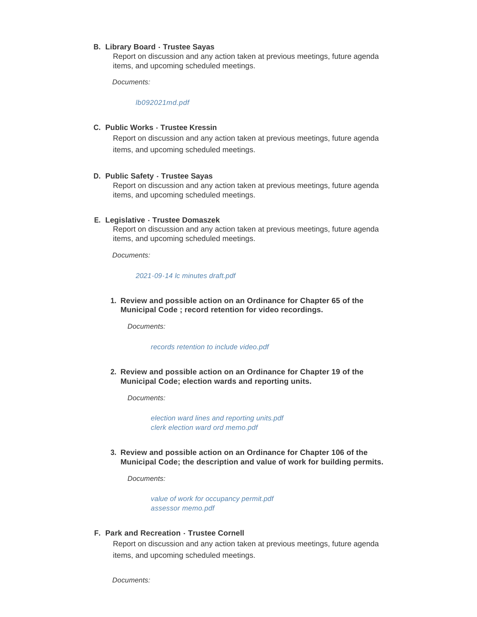#### **Library Board - Trustee Sayas B.**

Report on discussion and any action taken at previous meetings, future agenda items, and upcoming scheduled meetings.

*Documents:*

*[lb092021md.pdf](https://elmgrovewi.org/AgendaCenter/ViewFile/Item/10866?fileID=16639)*

#### **Public Works - Trustee Kressin C.**

Report on discussion and any action taken at previous meetings, future agenda items, and upcoming scheduled meetings.

#### **Public Safety - Trustee Sayas D.**

Report on discussion and any action taken at previous meetings, future agenda items, and upcoming scheduled meetings.

#### **Legislative - Trustee Domaszek E.**

Report on discussion and any action taken at previous meetings, future agenda items, and upcoming scheduled meetings.

*Documents:*

#### *[2021-09-14 lc minutes draft.pdf](https://elmgrovewi.org/AgendaCenter/ViewFile/Item/10870?fileID=16613)*

**Review and possible action on an Ordinance for Chapter 65 of the 1. Municipal Code ; record retention for video recordings.**

*Documents:*

#### *[records retention to include video.pdf](https://elmgrovewi.org/AgendaCenter/ViewFile/Item/10889?fileID=16614)*

**Review and possible action on an Ordinance for Chapter 19 of the 2. Municipal Code; election wards and reporting units.** 

*Documents:*

*[election ward lines and reporting units.pdf](https://elmgrovewi.org/AgendaCenter/ViewFile/Item/10890?fileID=16615) [clerk election ward ord memo.pdf](https://elmgrovewi.org/AgendaCenter/ViewFile/Item/10890?fileID=16616)*

**Review and possible action on an Ordinance for Chapter 106 of the 3. Municipal Code; the description and value of work for building permits.** 

*Documents:*

*[value of work for occupancy permit.pdf](https://elmgrovewi.org/AgendaCenter/ViewFile/Item/10891?fileID=16617) [assessor memo.pdf](https://elmgrovewi.org/AgendaCenter/ViewFile/Item/10891?fileID=16618)*

### **Park and Recreation - Trustee Cornell F.**

Report on discussion and any action taken at previous meetings, future agenda items, and upcoming scheduled meetings.

*Documents:*